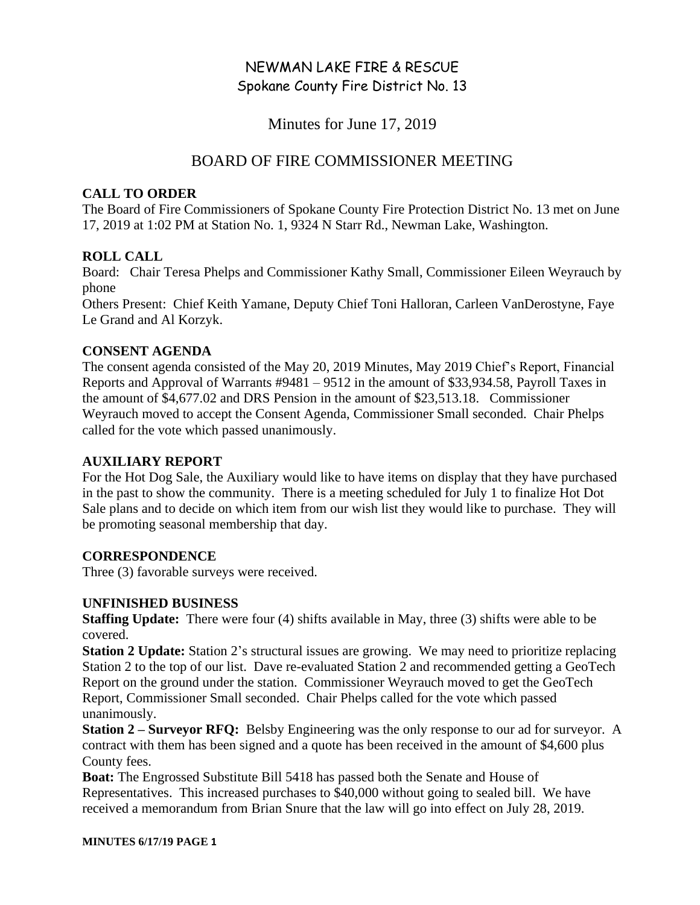# NEWMAN LAKE FIRE & RESCUE Spokane County Fire District No. 13

Minutes for June 17, 2019

## BOARD OF FIRE COMMISSIONER MEETING

### **CALL TO ORDER**

The Board of Fire Commissioners of Spokane County Fire Protection District No. 13 met on June 17, 2019 at 1:02 PM at Station No. 1, 9324 N Starr Rd., Newman Lake, Washington.

## **ROLL CALL**

Board: Chair Teresa Phelps and Commissioner Kathy Small, Commissioner Eileen Weyrauch by phone

Others Present: Chief Keith Yamane, Deputy Chief Toni Halloran, Carleen VanDerostyne, Faye Le Grand and Al Korzyk.

### **CONSENT AGENDA**

The consent agenda consisted of the May 20, 2019 Minutes, May 2019 Chief's Report, Financial Reports and Approval of Warrants #9481 – 9512 in the amount of \$33,934.58, Payroll Taxes in the amount of \$4,677.02 and DRS Pension in the amount of \$23,513.18. Commissioner Weyrauch moved to accept the Consent Agenda, Commissioner Small seconded. Chair Phelps called for the vote which passed unanimously.

### **AUXILIARY REPORT**

For the Hot Dog Sale, the Auxiliary would like to have items on display that they have purchased in the past to show the community. There is a meeting scheduled for July 1 to finalize Hot Dot Sale plans and to decide on which item from our wish list they would like to purchase. They will be promoting seasonal membership that day.

## **CORRESPONDENCE**

Three (3) favorable surveys were received.

### **UNFINISHED BUSINESS**

**Staffing Update:** There were four (4) shifts available in May, three (3) shifts were able to be covered.

**Station 2 Update:** Station 2's structural issues are growing. We may need to prioritize replacing Station 2 to the top of our list. Dave re-evaluated Station 2 and recommended getting a GeoTech Report on the ground under the station. Commissioner Weyrauch moved to get the GeoTech Report, Commissioner Small seconded. Chair Phelps called for the vote which passed unanimously.

**Station 2 – Surveyor RFQ:** Belsby Engineering was the only response to our ad for surveyor. A contract with them has been signed and a quote has been received in the amount of \$4,600 plus County fees.

**Boat:** The Engrossed Substitute Bill 5418 has passed both the Senate and House of Representatives. This increased purchases to \$40,000 without going to sealed bill. We have received a memorandum from Brian Snure that the law will go into effect on July 28, 2019.